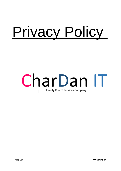# Privacy Policy

# CharDan IT Family Run IT Services Company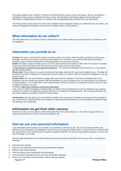This policy explains how CharDan IT Services Ltd will handle the privacy of your information. We are committed to maintaining robust privacy protections for all our users. We will take the necessary steps to ensure that user's information is safeguarded and kept in accordance with all applicable data protection laws and regulations.

This Privacy Policy forms part of our terms and conditions and is designed to help you understand how we collect, use, share and safeguard information we receive from website visitors and customers.

#### **What information do we collect?**

The information that you provide us with is collected from any online details given and processed in accordance with UK legislation.

# *Information you provide to us:*

**Contact**: We have a Contact Form and this is used to collect your name, email and phone number as well as your message, so that we can contact you and provide details of our services to you and deal with general company enquiries. Data is held on the grounds of being legitimate to our business interests.

**Emails:** We retain copies of emails sent to us on our servers which are hosted on Office 365 in the Cloud. For details of how your data is handled by this third party you should refer to their Privacy Policy

at <https://privacy.microsoft.com/en-gb/privacystatement> . Your personal information will be held by us in accordance with this Privacy Policy.

**Phone calls**: Phone calls to us may be recorded and any data relating to the call may be retained by us. The data will be held on the basis of being for our legitimate business needs or in order to fulfil our contractual obligations if you are a client of ours.

**Social media**: We use social media to engage with users and the CharDan IT Services Ltd website links to our Facebook. We do not keep any specific data that identifies you as an individual user, but hold details of our followers on these platforms. You should refer to the Privacy Policies of these channels to understand how they treat your data in relation to linking to our site.

Facebook: <https://www.facebook.com/privacy/explanation>

If you send us a direct message via social media, the details may be retained by us only as relevant to any ongoing contract or to further our legitimate business interests or as required for legal purposes. The third party provider may also retain details in accordance with their Privacy Policy.

**Testimonials**: We may ask for your permission to publish your comments in relation to services we have provided to you. If we choose to publish these on our website or other promotional material, we will not publish any personal data that identifies you individually.

#### *Information we get from other sources*

From time to time, we may need to obtain information from third parties about you. This will only apply where it is necessary to provide our services and as permitted by law.

#### **How we use your personal information**

Your information will be used by us to enable us to provide our services to you. We act as a Data Controller (see below) of your information and undertake to protect your personal and sensitive data in a manner that is consistent with the requirements of the General Data Protection Regulation (GDPR). We will take reasonable measures to ensure the secure storage of your data.

Personal data submitted on this website will be used for the purposes specified in this Privacy Policy, to include the following:

- administer the website;
- improve your browsing experience by personalising the website;
- follow up with email enquires;
- send you general (non-marketing) communications;
- send you email notifications which you have specifically requested;
- send to you marketing communications, where expressly agreed;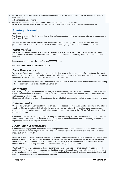- provide third parties with statistical information about our users but this information will not be used to identify any individual user;
- ask for feedback and reviews:
- deal with enquiries and complaints made by or about you relating to the website. Users of this website do so at their own discretion and provide any such personal details at their own risk.

# **Sharing Information:**

#### *Disclosure*

We don't share, sell, or distribute your data to third parties, except as contractually agreed with you or as provided in this Privacy Policy.

We may disclose your personal information if we are required to do so by law, in connection with any legal proceedings, and in order to establish, exercise or defend our legal rights, or if otherwise legally permitted.

# *Third Parties*

We use a third party company called Chrome Remote to manage and deliver our service additionally we use products from TeamViewer to deliver some remote and ad-hoc support services. The Privacy Policies for these partners is available at:

<https://support.google.com/chrome/a/answer/9036555?hl=en>

<https://www.teamviewer.com/en/privacy-policy/>

#### *Data Processors*

We may use Data Processors who act on our instruction in relation to the management of your data and they must adhere to all data protection laws and regulations. We will ensure that any Data Processors used only operate on our written instructions and comply with their obligations under the GDPR.

You will be informed of any other Data Controllers who have access to your data and who may determine processing activities separately to us, or as a Joint Data Controller.

#### *Marketing*

We will only send you emails about our services, i.e. direct marketing, with your express consent. You have the option not to give consent and to withdraw consent at any time. You may withdraw your consent for us to contact you by contacting us at info@chardanit.co.uk

Non-personally identifiable visitor information may be provided to third parties for marketing, advertising or other uses.

#### *External links*

Users of the CharDan IT Services Ltd website are advised to adopt a policy of caution before clicking on any external web links. Clicking an external link will take the user away from our website. Once you leave our website or are redirected to a third-party website or application, you are no longer governed by this Privacy Policy or our website's terms and conditions.

CharDan IT Services Ltd cannot guarantee or verify the contents of any externally linked website and users click on external links at their own risk. CharDan IT Services Ltd and its owners cannot be held liable for any damages or implications caused by visiting any external links mentioned.

# *Social media platforms*

Communication, engagement and actions taken through external social media platforms that this website and its owners participate on are subject to our terms and conditions as well as the privacy policies held with each social media platform respectively.

Users are advised to use social media platforms wisely and communicate and/or engage with them with due care and caution in regard to their own privacy and personal details. This website nor its owners will not ask for personal or sensitive information through social media platforms and encourage users wishing to discuss sensitive details to contact them through primary communication channels such as by telephone or email.

CharDan IT Services Ltd uses social sharing buttons which help share web content directly from web pages to the social media platform in question. Users are advised that before using such social sharing buttons, that they do so at their own discretion, and should consider that the social media platform may track and save requests to share a web page, through the users' social media platform account.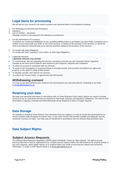# **Legal basis for processing**

We will ask for your consent if we need to process your personal data in circumstances including:

- 1. For Marketing our Services and Promotions
- 2. Research
- Use of Cookies see below
	- Separate consent is not required in the following circumstances:
- 1. For the performance of a contract.

To perform our contractual obligations to you, including fulfilling orders or purchases you have made, contacting you in relation to any issues with your order or use of the services, in relation to the provision of the services, or where we need to provide your personal data to our service providers related to the provision of the services.

- 1. To comply with legal obligations. To comply with laws, regulators, court orders, or other legal obligations.
- 1. Legitimate Interests.
- **Legitimate interests may include:**
- To communicate with you regarding the services, including to provide you with important notices regarding changes to our terms and to address and respond to your requests, enquiries and complaints.
- To send you surveys in connection with our services.
- To assist in the investigation of suspected illegal or wrongful activity, and to protect and defend our rights and property, or the rights or safety of third parties.
- To develop, provide, and improve our services.
- To enforce our Privacy Policy, or agreements with third parties.

#### *Withdrawing consent*

You may at any time withdraw your consent to the processing of your personal data by contacting us by email to [privacy@chardanit.co.uk](mailto:privacy@chardanit.co.uk)

#### **Retaining your data**

We keep your personal information in accordance with our Data Retention Policy which reflects our needs to provide services to you as contracted and also as required to meet legal, statutory and regulatory obligations. The need to hold information is regularly reviewed and information/data will be disposed of when no longer required.

#### **Data Storage**

Our website is hosted by Heart Internet. Any information that you supply to us may be stored and processed by our servers located inside European Economic Area, or any other country that provides suitable and adequate security measures to protect the data. Your data may be transferred in accordance with the relevant data protection laws.

# **Data Subject Rights:**

#### *Subject Access Requests*

The General Data Protection Regulation (GDPR) gives individuals, known as 'data subjects', the right to access personal data that is held by organisations by a subject access request (SAR). We will endeavour to respond quickly to any such requests, which legally require us to respond within one month of receiving the request and necessary information. To make a SAR request email us at privacy@chardanit.co.uk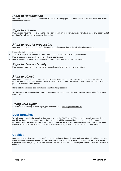# *Right to Rectification*

Data subjects have the right to request that we amend or change personal information that we hold about you, that is inaccurate or incorrect.

# *Right to erasure*

Data subjects have the right to ask us to delete personal information from our systems without giving any reason and at any time. We will act on any request without delay.

# *Right to restrict processing*

Data subjects have the right to rectification or erasure of personal data in the following circumstances:

- Personal data is not accurate:
- The processing of data is unlawful data subjects may request that processing is restricted;
- Data is required to exercise legal rights or defend legal claims;
- Data is unlawful but there may be lawful grounds for processing, which override this right.

#### *Right to data portability*

Data subjects have the right to obtain and transfer their data to different service providers.

# *Right to object*

Data subjects have the right to object to the processing of data at any time based on their particular situation. This includes objecting to profiling unless it is in the 'public interest' or exercised lawfully by an official authority. We will only process data under lawful grounds.

Right not to be subject to decisions based on automated processing

We do not use any automated processing that results in any automated decision based on a data subject's personal information.

# *Using your rights*

If you wish to invoke any of these rights, you can email us at privacy@chardanit.co.uk

# **Data Breaches**

We will report any unlawful breach of data as required by the GDPR within 72 hours of the breach occurring, if it is considered that there is an actual, or possibility, that data within our control including the control of our data processors, has been compromised. If the breach is classified as 'high risk' we will notify all data subjects concerned using an appropriate means of communication. We will report any relevant breaches to the ICO, see below.

# **Cookies**

Cookies are small files saved to the user's computer hard drive that track, save and store information about the user's interactions and usage of the website. This allows the website, through its server, to provide the user with a tailored experience when navigating the website. Session cookies may be used to validate your access to different parts of the website.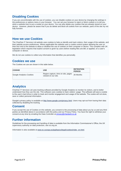# **Disabling Cookies**

If you are uncomfortable with the use of cookies, you can disable cookies on your device by changing the settings in the preferences or options menu in your browser. You can set your browser to reject or block cookies or to tell you when a website tries to put a cookie on your device. You can also delete any cookies that are already stored on your device. However, please be aware that if you do delete and block all cookies from our website, parts of the site my not fully function.

#### **How we use Cookies**

The CharDan IT Services Ltd website uses cookies to help us identify and track visitors, their usage of the website, and their website access preferences. Where applicable this website uses a cookie control system allowing the user on their first visit to the website to allow or disallow the use of cookies on their computer or device. This complies with UK legislation which requires that explicit consent is given by users before reading files are left, or applied, on a user's computer or device.

We do not use cookies to collect any information that identifies you personally.

## **Cookies we use**

The Cookies we use are shown in this table below.

| <b>COOKIE</b>            | <b>USE</b>                                                 | <b>RETENTION</b><br><b>PERIOD</b> |
|--------------------------|------------------------------------------------------------|-----------------------------------|
| Google Analytics Cookies | Region capture, time on site, pages<br>viewed on our site. | 26 Months                         |

# **Analytics**

CharDan IT Services Ltd uses tracking software provided by Google Analytics to monitor its visitors, and to better understand how they use the site. This software uses cookies to track visitors' usage. The software will save a cookie to the user's hard drive in order to track and monitor engagement and usage of the website. The cookie will not store, save or collect personal information.

Google's privacy policy is available at [http://www.google.com/privacy.html.](http://www.google.com/privacy.html) Users may opt-out from having their data collected by disabling the tracking.

#### **Consent**

If you accept the use of Cookies on this website, you consent to the processing of data about you by us and any third parties as identified above in accordance with this policy and our Privacy Policy. You have the right to withdraw your consent at any time by emailing the Data Controller at [privacy@chardanit.co.uk](mailto:privacy@chardanit.co.uk)

# **Further information**

Guidelines for the processing and handling of data is available from the Information Commissioner's Office, the UK supervisory authority on data protection, see ico.org.uk.

Information is also available at [www.ec.europa.eu/ipg/basics/legal/cookies/index\\_en.html.](http://www.ec.europa.eu/ipg/basics/legal/cookies/index_en.html)